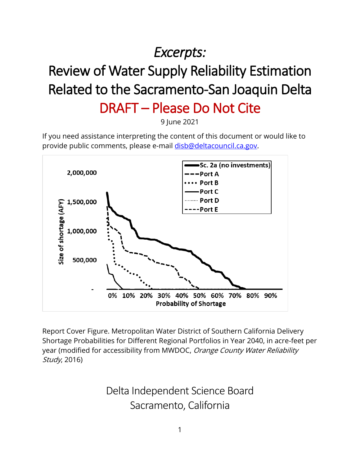# *Excerpts:*

# Review of Water Supply Reliability Estimation Related to the Sacramento-San Joaquin Delta

## DRAFT – Please Do Not Cite

9 June 2021

If you need assistance interpreting the content of this document or would like to provide public comments, please e-mail [disb@deltacouncil.ca.gov.](mailto:disb@deltacouncil.ca.gov)



Report Cover Figure. Metropolitan Water District of Southern California Delivery Shortage Probabilities for Different Regional Portfolios in Year 2040, in acre-feet per year (modified for accessibility from MWDOC, Orange County Water Reliability Study, 2016)

> Delta Independent Science Board Sacramento, California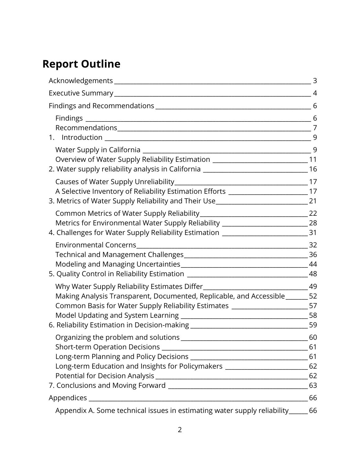### **Report Outline**

|                                                                                                                                                                                                                                                      | 4  |
|------------------------------------------------------------------------------------------------------------------------------------------------------------------------------------------------------------------------------------------------------|----|
|                                                                                                                                                                                                                                                      | 6  |
|                                                                                                                                                                                                                                                      |    |
|                                                                                                                                                                                                                                                      |    |
| Overview of Water Supply Reliability Estimation _______________________________11<br>2. Water supply reliability analysis in California ______________________________16                                                                             |    |
| A Selective Inventory of Reliability Estimation Efforts ________________________17<br>3. Metrics of Water Supply Reliability and Their Use____________________________21                                                                             |    |
| Metrics for Environmental Water Supply Reliability ____________________________28<br>4. Challenges for Water Supply Reliability Estimation ________________________________31                                                                        |    |
|                                                                                                                                                                                                                                                      | 32 |
| Making Analysis Transparent, Documented, Replicable, and Accessible ______ 52<br>Common Basis for Water Supply Reliability Estimates _______________________57<br>6. Reliability Estimation in Decision-making ___________________________________59 |    |
| Long-term Education and Insights for Policymakers ____________________________62                                                                                                                                                                     | 60 |
|                                                                                                                                                                                                                                                      |    |
|                                                                                                                                                                                                                                                      | 66 |
| Appendix A. Some technical issues in estimating water supply reliability_                                                                                                                                                                            | 66 |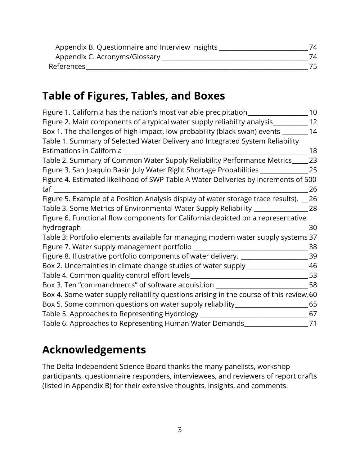| Appendix B. Questionnaire and Interview Insights | 74 |
|--------------------------------------------------|----|
| Appendix C. Acronyms/Glossary                    | 74 |
| References                                       |    |

### **Table of Figures, Tables, and Boxes**

| Figure 1. California has the nation's most variable precipitation                      | 10 |
|----------------------------------------------------------------------------------------|----|
| Figure 2. Main components of a typical water supply reliability analysis               | 12 |
| Box 1. The challenges of high-impact, low probability (black swan) events              | 14 |
| Table 1. Summary of Selected Water Delivery and Integrated System Reliability          |    |
| <b>Estimations in California</b>                                                       | 18 |
| Table 2. Summary of Common Water Supply Reliability Performance Metrics                | 23 |
| Figure 3. San Joaquin Basin July Water Right Shortage Probabilities                    | 25 |
| Figure 4. Estimated likelihood of SWP Table A Water Deliveries by increments of 500    |    |
| taf                                                                                    | 26 |
| Figure 5. Example of a Position Analysis display of water storage trace results).      | 26 |
| Table 3. Some Metrics of Environmental Water Supply Reliability                        | 28 |
| Figure 6. Functional flow components for California depicted on a representative       |    |
| hydrograph                                                                             | 30 |
| Table 3: Portfolio elements available for managing modern water supply systems 37      |    |
| Figure 7. Water supply management portfolio                                            | 38 |
| Figure 8. Illustrative portfolio components of water delivery.                         | 39 |
| Box 2. Uncertainties in climate change studies of water supply                         | 46 |
| Table 4. Common quality control effort levels                                          | 53 |
| Box 3. Ten "commandments" of software acquisition                                      | 58 |
| Box 4. Some water supply reliability questions arising in the course of this review.60 |    |
| Box 5. Some common questions on water supply reliability_                              | 65 |
| Table 5. Approaches to Representing Hydrology                                          | 67 |
| Table 6. Approaches to Representing Human Water Demands                                | 71 |

### **Acknowledgements**

The Delta Independent Science Board thanks the many panelists, workshop participants, questionnaire responders, interviewees, and reviewers of report drafts (listed in Appendix B) for their extensive thoughts, insights, and comments.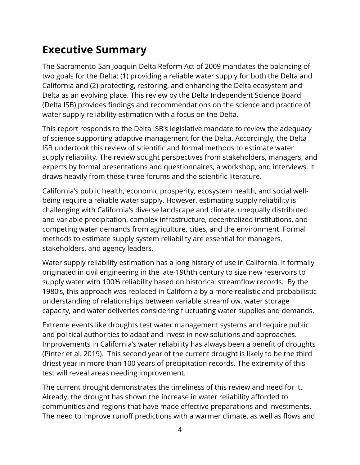### **Executive Summary**

The Sacramento-San Joaquin Delta Reform Act of 2009 mandates the balancing of two goals for the Delta: (1) providing a reliable water supply for both the Delta and California and (2) protecting, restoring, and enhancing the Delta ecosystem and Delta as an evolving place. This review by the Delta Independent Science Board (Delta ISB) provides findings and recommendations on the science and practice of water supply reliability estimation with a focus on the Delta.

This report responds to the Delta ISB's legislative mandate to review the adequacy of science supporting adaptive management for the Delta. Accordingly, the Delta ISB undertook this review of scientific and formal methods to estimate water supply reliability. The review sought perspectives from stakeholders, managers, and experts by formal presentations and questionnaires, a workshop, and interviews. It draws heavily from these three forums and the scientific literature.

California's public health, economic prosperity, ecosystem health, and social wellbeing require a reliable water supply. However, estimating supply reliability is challenging with California's diverse landscape and climate, unequally distributed and variable precipitation, complex infrastructure, decentralized institutions, and competing water demands from agriculture, cities, and the environment. Formal methods to estimate supply system reliability are essential for managers, stakeholders, and agency leaders.

Water supply reliability estimation has a long history of use in California. It formally originated in civil engineering in the late-19thth century to size new reservoirs to supply water with 100% reliability based on historical streamflow records. By the 1980's, this approach was replaced in California by a more realistic and probabilistic understanding of relationships between variable streamflow, water storage capacity, and water deliveries considering fluctuating water supplies and demands.

Extreme events like droughts test water management systems and require public and political authorities to adapt and invest in new solutions and approaches. Improvements in California's water reliability has always been a benefit of droughts (Pinter et al. 2019). This second year of the current drought is likely to be the third driest year in more than 100 years of precipitation records. The extremity of this test will reveal areas needing improvement.

The current drought demonstrates the timeliness of this review and need for it. Already, the drought has shown the increase in water reliability afforded to communities and regions that have made effective preparations and investments. The need to improve runoff predictions with a warmer climate, as well as flows and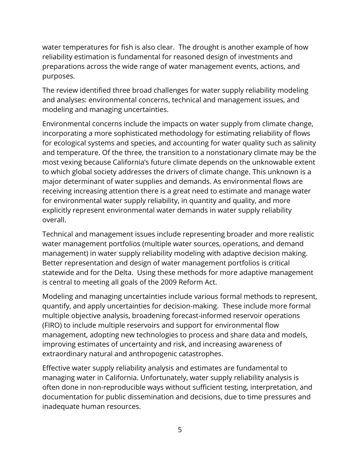water temperatures for fish is also clear. The drought is another example of how reliability estimation is fundamental for reasoned design of investments and preparations across the wide range of water management events, actions, and purposes.

The review identified three broad challenges for water supply reliability modeling and analyses: environmental concerns, technical and management issues, and modeling and managing uncertainties.

Environmental concerns include the impacts on water supply from climate change, incorporating a more sophisticated methodology for estimating reliability of flows for ecological systems and species, and accounting for water quality such as salinity and temperature. Of the three, the transition to a nonstationary climate may be the most vexing because California's future climate depends on the unknowable extent to which global society addresses the drivers of climate change. This unknown is a major determinant of water supplies and demands. As environmental flows are receiving increasing attention there is a great need to estimate and manage water for environmental water supply reliability, in quantity and quality, and more explicitly represent environmental water demands in water supply reliability overall.

Technical and management issues include representing broader and more realistic water management portfolios (multiple water sources, operations, and demand management) in water supply reliability modeling with adaptive decision making. Better representation and design of water management portfolios is critical statewide and for the Delta. Using these methods for more adaptive management is central to meeting all goals of the 2009 Reform Act.

Modeling and managing uncertainties include various formal methods to represent, quantify, and apply uncertainties for decision-making. These include more formal multiple objective analysis, broadening forecast-informed reservoir operations (FIRO) to include multiple reservoirs and support for environmental flow management, adopting new technologies to process and share data and models, improving estimates of uncertainty and risk, and increasing awareness of extraordinary natural and anthropogenic catastrophes.

Effective water supply reliability analysis and estimates are fundamental to managing water in California. Unfortunately, water supply reliability analysis is often done in non-reproducible ways without sufficient testing, interpretation, and documentation for public dissemination and decisions, due to time pressures and inadequate human resources.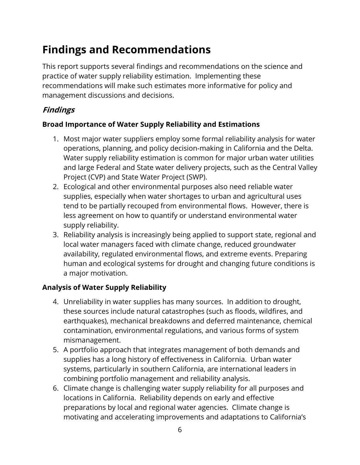### **Findings and Recommendations**

This report supports several findings and recommendations on the science and practice of water supply reliability estimation. Implementing these recommendations will make such estimates more informative for policy and management discussions and decisions.

#### **Findings**

#### **Broad Importance of Water Supply Reliability and Estimations**

- 1. Most major water suppliers employ some formal reliability analysis for water operations, planning, and policy decision-making in California and the Delta. Water supply reliability estimation is common for major urban water utilities and large Federal and State water delivery projects, such as the Central Valley Project (CVP) and State Water Project (SWP).
- 2. Ecological and other environmental purposes also need reliable water supplies, especially when water shortages to urban and agricultural uses tend to be partially recouped from environmental flows. However, there is less agreement on how to quantify or understand environmental water supply reliability.
- 3. Reliability analysis is increasingly being applied to support state, regional and local water managers faced with climate change, reduced groundwater availability, regulated environmental flows, and extreme events. Preparing human and ecological systems for drought and changing future conditions is a major motivation.

#### **Analysis of Water Supply Reliability**

- 4. Unreliability in water supplies has many sources. In addition to drought, these sources include natural catastrophes (such as floods, wildfires, and earthquakes), mechanical breakdowns and deferred maintenance, chemical contamination, environmental regulations, and various forms of system mismanagement.
- 5. A portfolio approach that integrates management of both demands and supplies has a long history of effectiveness in California. Urban water systems, particularly in southern California, are international leaders in combining portfolio management and reliability analysis.
- 6. Climate change is challenging water supply reliability for all purposes and locations in California. Reliability depends on early and effective preparations by local and regional water agencies. Climate change is motivating and accelerating improvements and adaptations to California's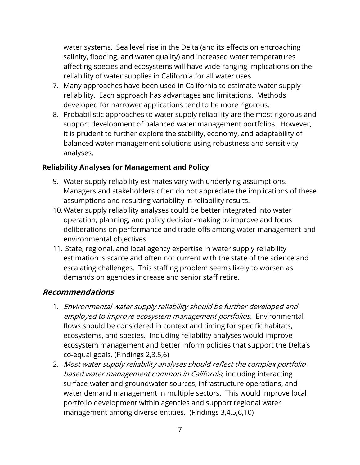water systems. Sea level rise in the Delta (and its effects on encroaching salinity, flooding, and water quality) and increased water temperatures affecting species and ecosystems will have wide-ranging implications on the reliability of water supplies in California for all water uses.

- 7. Many approaches have been used in California to estimate water-supply reliability. Each approach has advantages and limitations. Methods developed for narrower applications tend to be more rigorous.
- 8. Probabilistic approaches to water supply reliability are the most rigorous and support development of balanced water management portfolios. However, it is prudent to further explore the stability, economy, and adaptability of balanced water management solutions using robustness and sensitivity analyses.

#### **Reliability Analyses for Management and Policy**

- 9. Water supply reliability estimates vary with underlying assumptions. Managers and stakeholders often do not appreciate the implications of these assumptions and resulting variability in reliability results.
- 10.Water supply reliability analyses could be better integrated into water operation, planning, and policy decision-making to improve and focus deliberations on performance and trade-offs among water management and environmental objectives.
- 11. State, regional, and local agency expertise in water supply reliability estimation is scarce and often not current with the state of the science and escalating challenges. This staffing problem seems likely to worsen as demands on agencies increase and senior staff retire.

#### **Recommendations**

- 1. Environmental water supply reliability should be further developed and employed to improve ecosystem management portfolios. Environmental flows should be considered in context and timing for specific habitats, ecosystems, and species. Including reliability analyses would improve ecosystem management and better inform policies that support the Delta's co-equal goals. (Findings 2,3,5,6)
- 2. Most water supply reliability analyses should reflect the complex portfoliobased water management common in California, including interacting surface-water and groundwater sources, infrastructure operations, and water demand management in multiple sectors. This would improve local portfolio development within agencies and support regional water management among diverse entities. (Findings 3,4,5,6,10)